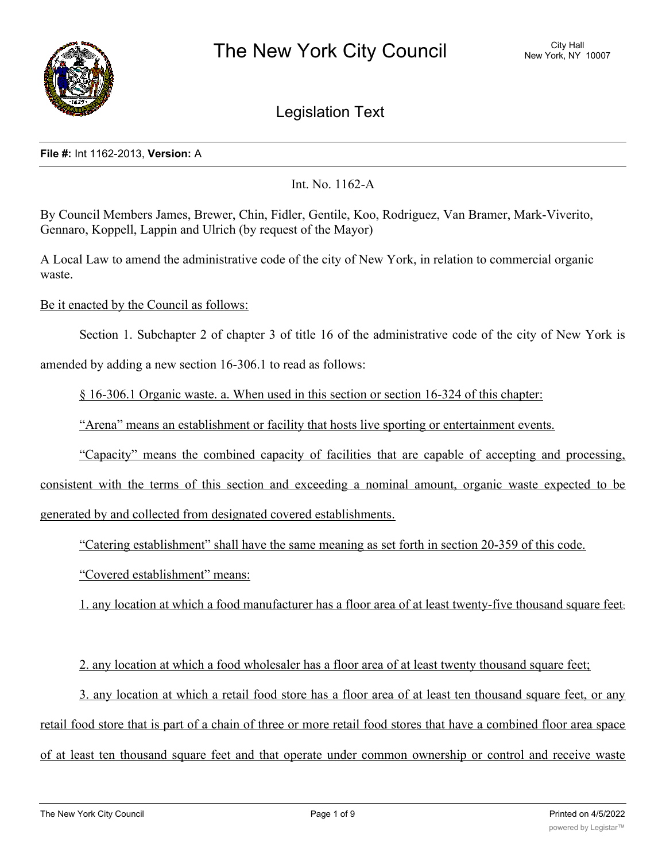

Legislation Text

# **File #:** Int 1162-2013, **Version:** A

Int. No. 1162-A

By Council Members James, Brewer, Chin, Fidler, Gentile, Koo, Rodriguez, Van Bramer, Mark-Viverito, Gennaro, Koppell, Lappin and Ulrich (by request of the Mayor)

A Local Law to amend the administrative code of the city of New York, in relation to commercial organic waste.

Be it enacted by the Council as follows:

Section 1. Subchapter 2 of chapter 3 of title 16 of the administrative code of the city of New York is

amended by adding a new section 16-306.1 to read as follows:

§ 16-306.1 Organic waste. a. When used in this section or section 16-324 of this chapter:

"Arena" means an establishment or facility that hosts live sporting or entertainment events.

"Capacity" means the combined capacity of facilities that are capable of accepting and processing,

consistent with the terms of this section and exceeding a nominal amount, organic waste expected to be generated by and collected from designated covered establishments.

"Catering establishment" shall have the same meaning as set forth in section 20-359 of this code.

"Covered establishment" means:

1. any location at which a food manufacturer has a floor area of at least twenty-five thousand square feet;

2. any location at which a food wholesaler has a floor area of at least twenty thousand square feet;

3. any location at which a retail food store has a floor area of at least ten thousand square feet, or any retail food store that is part of a chain of three or more retail food stores that have a combined floor area space of at least ten thousand square feet and that operate under common ownership or control and receive waste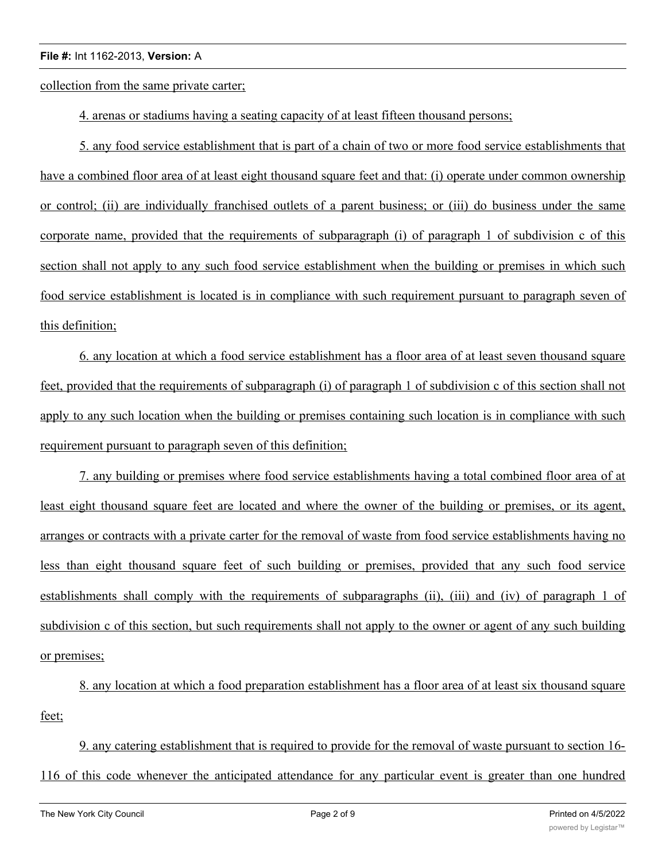collection from the same private carter;

4. arenas or stadiums having a seating capacity of at least fifteen thousand persons;

5. any food service establishment that is part of a chain of two or more food service establishments that have a combined floor area of at least eight thousand square feet and that: (i) operate under common ownership or control; (ii) are individually franchised outlets of a parent business; or (iii) do business under the same corporate name, provided that the requirements of subparagraph (i) of paragraph 1 of subdivision c of this section shall not apply to any such food service establishment when the building or premises in which such food service establishment is located is in compliance with such requirement pursuant to paragraph seven of this definition;

6. any location at which a food service establishment has a floor area of at least seven thousand square feet, provided that the requirements of subparagraph (i) of paragraph 1 of subdivision c of this section shall not apply to any such location when the building or premises containing such location is in compliance with such requirement pursuant to paragraph seven of this definition;

7. any building or premises where food service establishments having a total combined floor area of at least eight thousand square feet are located and where the owner of the building or premises, or its agent, arranges or contracts with a private carter for the removal of waste from food service establishments having no less than eight thousand square feet of such building or premises, provided that any such food service establishments shall comply with the requirements of subparagraphs (ii), (iii) and (iv) of paragraph 1 of subdivision c of this section, but such requirements shall not apply to the owner or agent of any such building or premises;

8. any location at which a food preparation establishment has a floor area of at least six thousand square feet;

9. any catering establishment that is required to provide for the removal of waste pursuant to section 16- 116 of this code whenever the anticipated attendance for any particular event is greater than one hundred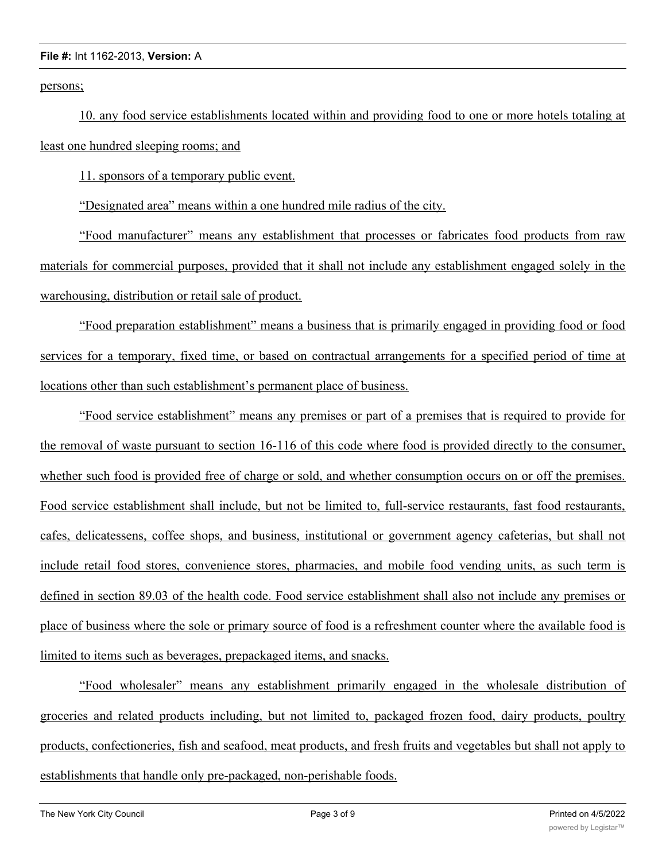persons;

10. any food service establishments located within and providing food to one or more hotels totaling at least one hundred sleeping rooms; and

11. sponsors of a temporary public event.

"Designated area" means within a one hundred mile radius of the city.

"Food manufacturer" means any establishment that processes or fabricates food products from raw materials for commercial purposes, provided that it shall not include any establishment engaged solely in the warehousing, distribution or retail sale of product.

"Food preparation establishment" means a business that is primarily engaged in providing food or food services for a temporary, fixed time, or based on contractual arrangements for a specified period of time at locations other than such establishment's permanent place of business.

"Food service establishment" means any premises or part of a premises that is required to provide for the removal of waste pursuant to section 16-116 of this code where food is provided directly to the consumer, whether such food is provided free of charge or sold, and whether consumption occurs on or off the premises. Food service establishment shall include, but not be limited to, full-service restaurants, fast food restaurants, cafes, delicatessens, coffee shops, and business, institutional or government agency cafeterias, but shall not include retail food stores, convenience stores, pharmacies, and mobile food vending units, as such term is defined in section 89.03 of the health code. Food service establishment shall also not include any premises or place of business where the sole or primary source of food is a refreshment counter where the available food is limited to items such as beverages, prepackaged items, and snacks.

"Food wholesaler" means any establishment primarily engaged in the wholesale distribution of groceries and related products including, but not limited to, packaged frozen food, dairy products, poultry products, confectioneries, fish and seafood, meat products, and fresh fruits and vegetables but shall not apply to establishments that handle only pre-packaged, non-perishable foods.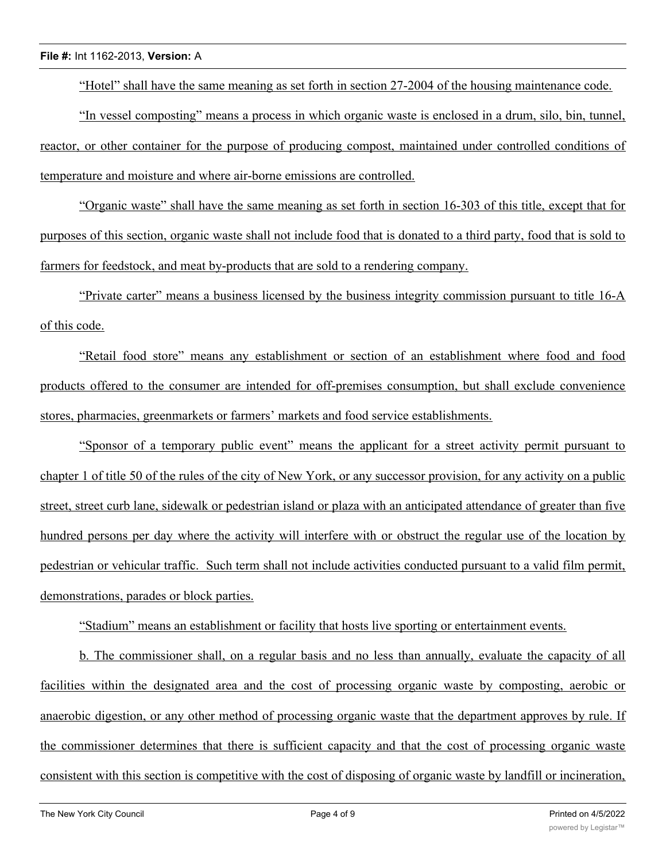"Hotel" shall have the same meaning as set forth in section 27-2004 of the housing maintenance code.

"In vessel composting" means a process in which organic waste is enclosed in a drum, silo, bin, tunnel, reactor, or other container for the purpose of producing compost, maintained under controlled conditions of temperature and moisture and where air-borne emissions are controlled.

"Organic waste" shall have the same meaning as set forth in section 16-303 of this title, except that for purposes of this section, organic waste shall not include food that is donated to a third party, food that is sold to farmers for feedstock, and meat by-products that are sold to a rendering company.

"Private carter" means a business licensed by the business integrity commission pursuant to title 16-A of this code.

"Retail food store" means any establishment or section of an establishment where food and food products offered to the consumer are intended for off-premises consumption, but shall exclude convenience stores, pharmacies, greenmarkets or farmers' markets and food service establishments.

"Sponsor of a temporary public event" means the applicant for a street activity permit pursuant to chapter 1 of title 50 of the rules of the city of New York, or any successor provision, for any activity on a public street, street curb lane, sidewalk or pedestrian island or plaza with an anticipated attendance of greater than five hundred persons per day where the activity will interfere with or obstruct the regular use of the location by pedestrian or vehicular traffic. Such term shall not include activities conducted pursuant to a valid film permit, demonstrations, parades or block parties.

"Stadium" means an establishment or facility that hosts live sporting or entertainment events.

b. The commissioner shall, on a regular basis and no less than annually, evaluate the capacity of all facilities within the designated area and the cost of processing organic waste by composting, aerobic or anaerobic digestion, or any other method of processing organic waste that the department approves by rule. If the commissioner determines that there is sufficient capacity and that the cost of processing organic waste consistent with this section is competitive with the cost of disposing of organic waste by landfill or incineration,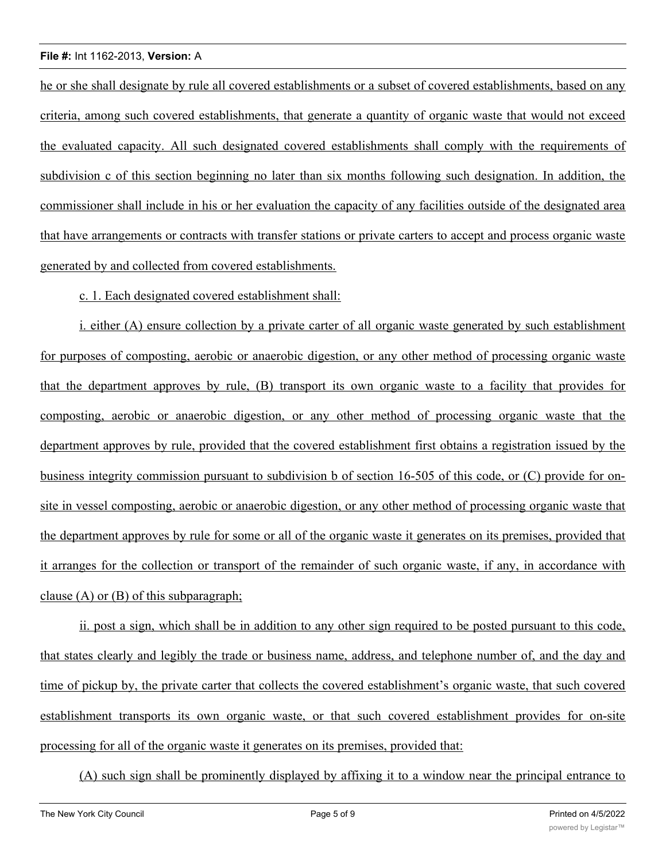he or she shall designate by rule all covered establishments or a subset of covered establishments, based on any criteria, among such covered establishments, that generate a quantity of organic waste that would not exceed the evaluated capacity. All such designated covered establishments shall comply with the requirements of subdivision c of this section beginning no later than six months following such designation. In addition, the commissioner shall include in his or her evaluation the capacity of any facilities outside of the designated area that have arrangements or contracts with transfer stations or private carters to accept and process organic waste generated by and collected from covered establishments.

# c. 1. Each designated covered establishment shall:

i. either (A) ensure collection by a private carter of all organic waste generated by such establishment for purposes of composting, aerobic or anaerobic digestion, or any other method of processing organic waste that the department approves by rule, (B) transport its own organic waste to a facility that provides for composting, aerobic or anaerobic digestion, or any other method of processing organic waste that the department approves by rule, provided that the covered establishment first obtains a registration issued by the business integrity commission pursuant to subdivision b of section 16-505 of this code, or (C) provide for onsite in vessel composting, aerobic or anaerobic digestion, or any other method of processing organic waste that the department approves by rule for some or all of the organic waste it generates on its premises, provided that it arranges for the collection or transport of the remainder of such organic waste, if any, in accordance with clause (A) or (B) of this subparagraph;

ii. post a sign, which shall be in addition to any other sign required to be posted pursuant to this code, that states clearly and legibly the trade or business name, address, and telephone number of, and the day and time of pickup by, the private carter that collects the covered establishment's organic waste, that such covered establishment transports its own organic waste, or that such covered establishment provides for on-site processing for all of the organic waste it generates on its premises, provided that:

(A) such sign shall be prominently displayed by affixing it to a window near the principal entrance to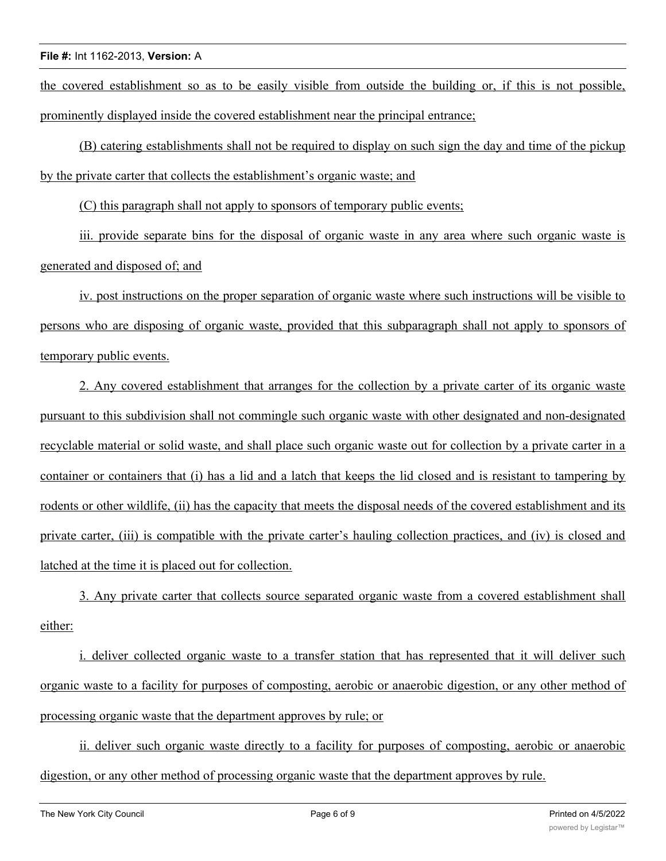the covered establishment so as to be easily visible from outside the building or, if this is not possible, prominently displayed inside the covered establishment near the principal entrance;

(B) catering establishments shall not be required to display on such sign the day and time of the pickup by the private carter that collects the establishment's organic waste; and

(C) this paragraph shall not apply to sponsors of temporary public events;

iii. provide separate bins for the disposal of organic waste in any area where such organic waste is generated and disposed of; and

iv. post instructions on the proper separation of organic waste where such instructions will be visible to persons who are disposing of organic waste, provided that this subparagraph shall not apply to sponsors of temporary public events.

2. Any covered establishment that arranges for the collection by a private carter of its organic waste pursuant to this subdivision shall not commingle such organic waste with other designated and non-designated recyclable material or solid waste, and shall place such organic waste out for collection by a private carter in a container or containers that (i) has a lid and a latch that keeps the lid closed and is resistant to tampering by rodents or other wildlife, (ii) has the capacity that meets the disposal needs of the covered establishment and its private carter, (iii) is compatible with the private carter's hauling collection practices, and (iv) is closed and latched at the time it is placed out for collection.

3. Any private carter that collects source separated organic waste from a covered establishment shall either:

i. deliver collected organic waste to a transfer station that has represented that it will deliver such organic waste to a facility for purposes of composting, aerobic or anaerobic digestion, or any other method of processing organic waste that the department approves by rule; or

ii. deliver such organic waste directly to a facility for purposes of composting, aerobic or anaerobic digestion, or any other method of processing organic waste that the department approves by rule.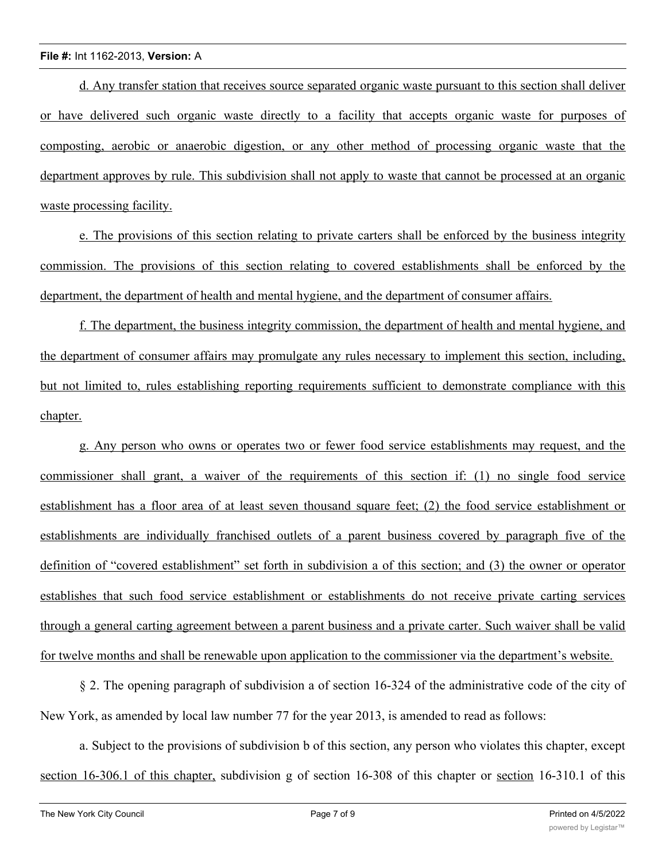d. Any transfer station that receives source separated organic waste pursuant to this section shall deliver or have delivered such organic waste directly to a facility that accepts organic waste for purposes of composting, aerobic or anaerobic digestion, or any other method of processing organic waste that the department approves by rule. This subdivision shall not apply to waste that cannot be processed at an organic waste processing facility.

e. The provisions of this section relating to private carters shall be enforced by the business integrity commission. The provisions of this section relating to covered establishments shall be enforced by the department, the department of health and mental hygiene, and the department of consumer affairs.

f. The department, the business integrity commission, the department of health and mental hygiene, and the department of consumer affairs may promulgate any rules necessary to implement this section, including, but not limited to, rules establishing reporting requirements sufficient to demonstrate compliance with this chapter.

g. Any person who owns or operates two or fewer food service establishments may request, and the commissioner shall grant, a waiver of the requirements of this section if: (1) no single food service establishment has a floor area of at least seven thousand square feet; (2) the food service establishment or establishments are individually franchised outlets of a parent business covered by paragraph five of the definition of "covered establishment" set forth in subdivision a of this section; and (3) the owner or operator establishes that such food service establishment or establishments do not receive private carting services through a general carting agreement between a parent business and a private carter. Such waiver shall be valid for twelve months and shall be renewable upon application to the commissioner via the department's website.

§ 2. The opening paragraph of subdivision a of section 16-324 of the administrative code of the city of New York, as amended by local law number 77 for the year 2013, is amended to read as follows:

a. Subject to the provisions of subdivision b of this section, any person who violates this chapter, except section 16-306.1 of this chapter, subdivision g of section 16-308 of this chapter or section 16-310.1 of this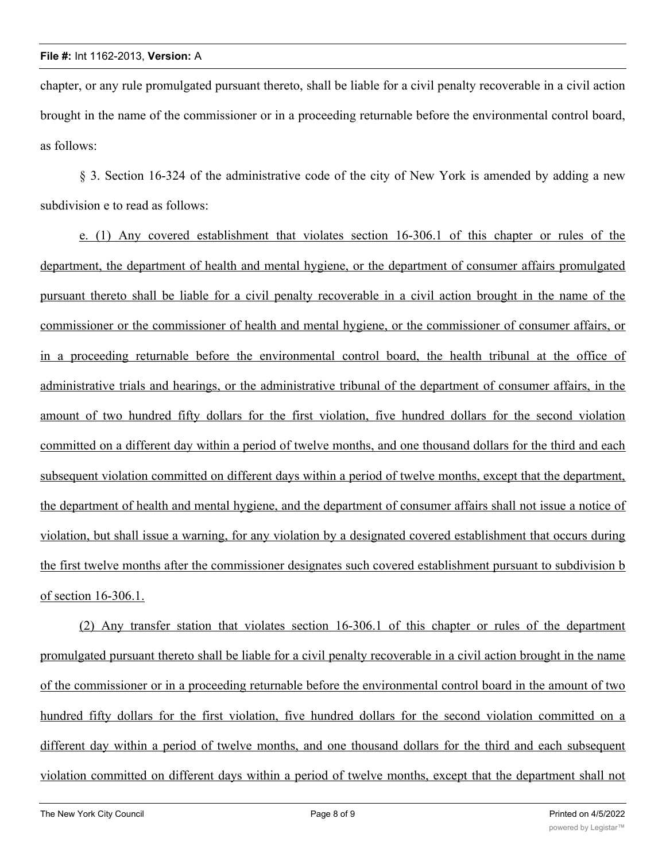chapter, or any rule promulgated pursuant thereto, shall be liable for a civil penalty recoverable in a civil action brought in the name of the commissioner or in a proceeding returnable before the environmental control board, as follows:

§ 3. Section 16-324 of the administrative code of the city of New York is amended by adding a new subdivision e to read as follows:

e. (1) Any covered establishment that violates section 16-306.1 of this chapter or rules of the department, the department of health and mental hygiene, or the department of consumer affairs promulgated pursuant thereto shall be liable for a civil penalty recoverable in a civil action brought in the name of the commissioner or the commissioner of health and mental hygiene, or the commissioner of consumer affairs, or in a proceeding returnable before the environmental control board, the health tribunal at the office of administrative trials and hearings, or the administrative tribunal of the department of consumer affairs, in the amount of two hundred fifty dollars for the first violation, five hundred dollars for the second violation committed on a different day within a period of twelve months, and one thousand dollars for the third and each subsequent violation committed on different days within a period of twelve months, except that the department, the department of health and mental hygiene, and the department of consumer affairs shall not issue a notice of violation, but shall issue a warning, for any violation by a designated covered establishment that occurs during the first twelve months after the commissioner designates such covered establishment pursuant to subdivision b of section 16-306.1.

(2) Any transfer station that violates section 16-306.1 of this chapter or rules of the department promulgated pursuant thereto shall be liable for a civil penalty recoverable in a civil action brought in the name of the commissioner or in a proceeding returnable before the environmental control board in the amount of two hundred fifty dollars for the first violation, five hundred dollars for the second violation committed on a different day within a period of twelve months, and one thousand dollars for the third and each subsequent violation committed on different days within a period of twelve months, except that the department shall not